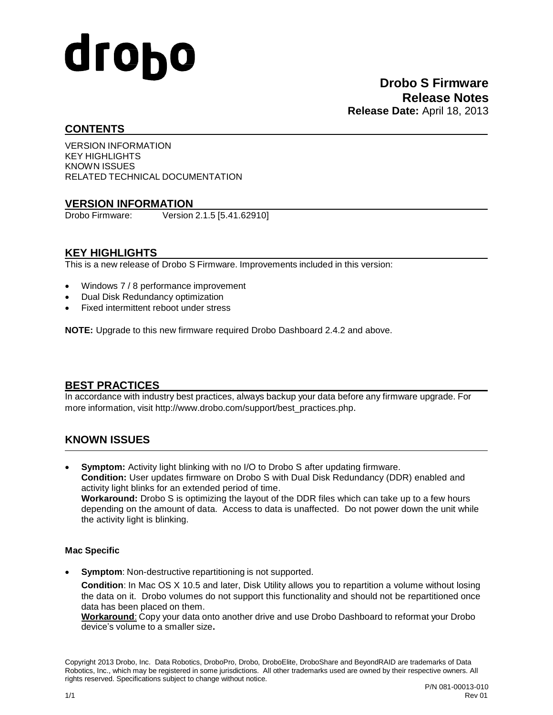# drobo

### **CONTENTS**

VERSION INFORMATION KEY HIGHLIGHTS KNOWN ISSUES RELATED TECHNICAL DOCUMENTATION

### **VERSION INFORMATION**

Drobo Firmware: Version 2.1.5 [5.41.62910]

### **KEY HIGHLIGHTS**

This is a new release of Drobo S Firmware. Improvements included in this version:

- Windows 7 / 8 performance improvement
- Dual Disk Redundancy optimization
- Fixed intermittent reboot under stress

**NOTE:** Upgrade to this new firmware required Drobo Dashboard 2.4.2 and above.

# **BEST PRACTICES**

In accordance with industry best practices, always backup your data before any firmware upgrade. For more information, visit [http://www.drobo.com/support/best\\_practices.php](http://www.drobo.com/support/best_practices.php).

# **KNOWN ISSUES**

 **Symptom:** Activity light blinking with no I/O to Drobo S after updating firmware. **Condition:** User updates firmware on Drobo S with Dual Disk Redundancy (DDR) enabled and activity light blinks for an extended period of time. **Workaround:** Drobo S is optimizing the layout of the DDR files which can take up to a few hours depending on the amount of data. Access to data is unaffected. Do not power down the unit while the activity light is blinking.

### **Mac Specific**

**Symptom**: Non-destructive repartitioning is not supported.

**Condition**: In Mac OS X 10.5 and later, Disk Utility allows you to repartition a volume without losing the data on it. Drobo volumes do not support this functionality and should not be repartitioned once data has been placed on them.

**Workaround**: Copy your data onto another drive and use Drobo Dashboard to reformat your Drobo device's volume to a smaller size**.**

Copyright 2013 Drobo, Inc. Data Robotics, DroboPro, Drobo, DroboElite, DroboShare and BeyondRAID are trademarks of Data Robotics, Inc., which may be registered in some jurisdictions. All other trademarks used are owned by their respective owners. All rights reserved. Specifications subject to change without notice.